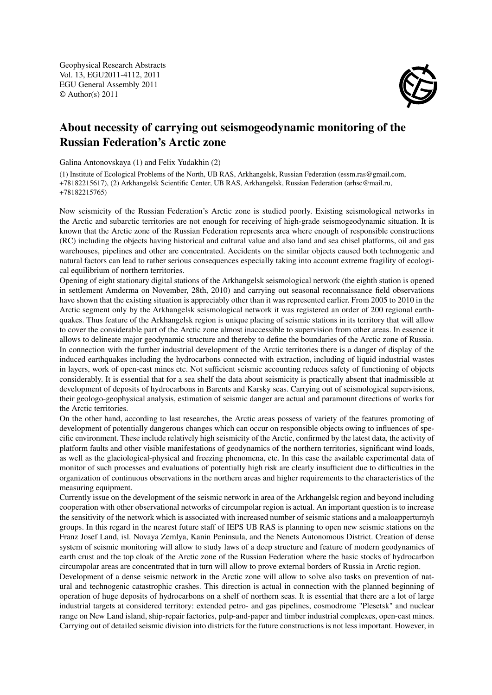Geophysical Research Abstracts Vol. 13, EGU2011-4112, 2011 EGU General Assembly 2011 © Author(s) 2011



## About necessity of carrying out seismogeodynamic monitoring of the Russian Federation's Arctic zone

Galina Antonovskaya (1) and Felix Yudakhin (2)

(1) Institute of Ecological Problems of the North, UB RAS, Arkhangelsk, Russian Federation (essm.ras@gmail.com, +78182215617), (2) Arkhangelsk Scientific Center, UB RAS, Arkhangelsk, Russian Federation (arhsc@mail.ru, +78182215765)

Now seismicity of the Russian Federation's Arctic zone is studied poorly. Existing seismological networks in the Arctic and subarctic territories are not enough for receiving of high-grade seismogeodynamic situation. It is known that the Arctic zone of the Russian Federation represents area where enough of responsible constructions (RC) including the objects having historical and cultural value and also land and sea chisel platforms, oil and gas warehouses, pipelines and other are concentrated. Accidents on the similar objects caused both technogenic and natural factors can lead to rather serious consequences especially taking into account extreme fragility of ecological equilibrium of northern territories.

Opening of eight stationary digital stations of the Arkhangelsk seismological network (the eighth station is opened in settlement Amderma on November, 28th, 2010) and carrying out seasonal reconnaissance field observations have shown that the existing situation is appreciably other than it was represented earlier. From 2005 to 2010 in the Arctic segment only by the Arkhangelsk seismological network it was registered an order of 200 regional earthquakes. Thus feature of the Arkhangelsk region is unique placing of seismic stations in its territory that will allow to cover the considerable part of the Arctic zone almost inaccessible to supervision from other areas. In essence it allows to delineate major geodynamic structure and thereby to define the boundaries of the Arctic zone of Russia. In connection with the further industrial development of the Arctic territories there is a danger of display of the induced earthquakes including the hydrocarbons connected with extraction, including of liquid industrial wastes in layers, work of open-cast mines etc. Not sufficient seismic accounting reduces safety of functioning of objects considerably. It is essential that for a sea shelf the data about seismicity is practically absent that inadmissible at development of deposits of hydrocarbons in Barents and Karsky seas. Carrying out of seismological supervisions, their geologo-geophysical analysis, estimation of seismic danger are actual and paramount directions of works for the Arctic territories.

On the other hand, according to last researches, the Arctic areas possess of variety of the features promoting of development of potentially dangerous changes which can occur on responsible objects owing to influences of specific environment. These include relatively high seismicity of the Arctic, confirmed by the latest data, the activity of platform faults and other visible manifestations of geodynamics of the northern territories, significant wind loads, as well as the glaciological-physical and freezing phenomena, etc. In this case the available experimental data of monitor of such processes and evaluations of potentially high risk are clearly insufficient due to difficulties in the organization of continuous observations in the northern areas and higher requirements to the characteristics of the measuring equipment.

Currently issue on the development of the seismic network in area of the Arkhangelsk region and beyond including cooperation with other observational networks of circumpolar region is actual. An important question is to increase the sensitivity of the network which is associated with increased number of seismic stations and a maloapperturnyh groups. In this regard in the nearest future staff of IEPS UB RAS is planning to open new seismic stations on the Franz Josef Land, isl. Novaya Zemlya, Kanin Peninsula, and the Nenets Autonomous District. Creation of dense system of seismic monitoring will allow to study laws of a deep structure and feature of modern geodynamics of earth crust and the top cloak of the Arctic zone of the Russian Federation where the basic stocks of hydrocarbon circumpolar areas are concentrated that in turn will allow to prove external borders of Russia in Arctic region.

Development of a dense seismic network in the Arctic zone will allow to solve also tasks on prevention of natural and technogenic catastrophic crashes. This direction is actual in connection with the planned beginning of operation of huge deposits of hydrocarbons on a shelf of northern seas. It is essential that there are a lot of large industrial targets at considered territory: extended petro- and gas pipelines, cosmodrome "Plesetsk" and nuclear range on New Land island, ship-repair factories, pulp-and-paper and timber industrial complexes, open-cast mines. Carrying out of detailed seismic division into districts for the future constructions is not less important. However, in